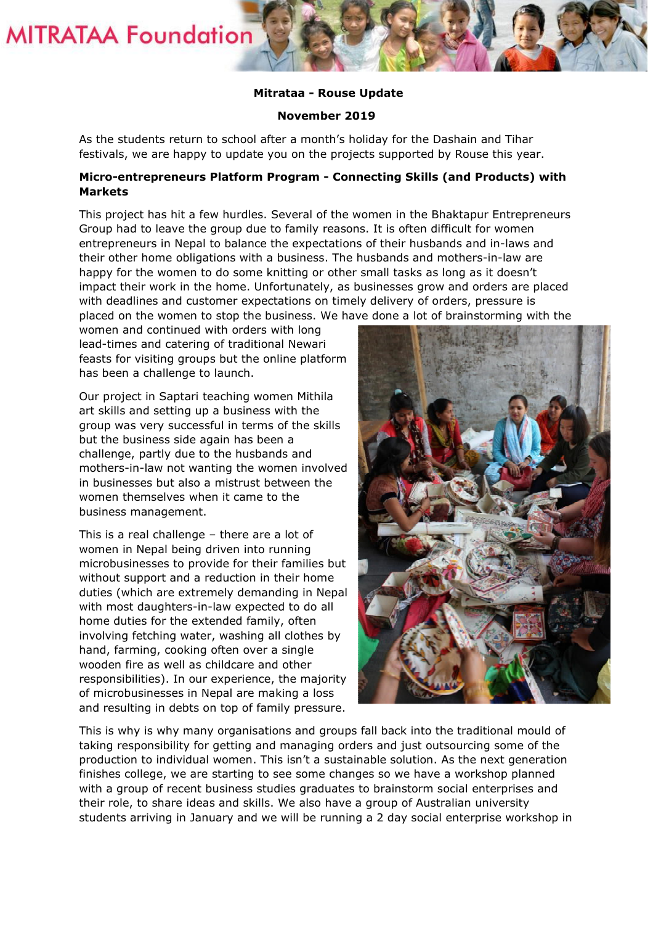**MITRATAA Foundation** 

## **Mitrataa - Rouse Update**

## **November 2019**

As the students return to school after a month's holiday for the Dashain and Tihar festivals, we are happy to update you on the projects supported by Rouse this year.

## **Micro-entrepreneurs Platform Program - Connecting Skills (and Products) with Markets**

This project has hit a few hurdles. Several of the women in the Bhaktapur Entrepreneurs Group had to leave the group due to family reasons. It is often difficult for women entrepreneurs in Nepal to balance the expectations of their husbands and in-laws and their other home obligations with a business. The husbands and mothers-in-law are happy for the women to do some knitting or other small tasks as long as it doesn't impact their work in the home. Unfortunately, as businesses grow and orders are placed with deadlines and customer expectations on timely delivery of orders, pressure is placed on the women to stop the business. We have done a lot of brainstorming with the

women and continued with orders with long lead-times and catering of traditional Newari feasts for visiting groups but the online platform has been a challenge to launch.

Our project in Saptari teaching women Mithila art skills and setting up a business with the group was very successful in terms of the skills but the business side again has been a challenge, partly due to the husbands and mothers-in-law not wanting the women involved in businesses but also a mistrust between the women themselves when it came to the business management.

This is a real challenge – there are a lot of women in Nepal being driven into running microbusinesses to provide for their families but without support and a reduction in their home duties (which are extremely demanding in Nepal with most daughters-in-law expected to do all home duties for the extended family, often involving fetching water, washing all clothes by hand, farming, cooking often over a single wooden fire as well as childcare and other responsibilities). In our experience, the majority of microbusinesses in Nepal are making a loss and resulting in debts on top of family pressure.



This is why is why many organisations and groups fall back into the traditional mould of taking responsibility for getting and managing orders and just outsourcing some of the production to individual women. This isn't a sustainable solution. As the next generation finishes college, we are starting to see some changes so we have a workshop planned with a group of recent business studies graduates to brainstorm social enterprises and their role, to share ideas and skills. We also have a group of Australian university students arriving in January and we will be running a 2 day social enterprise workshop in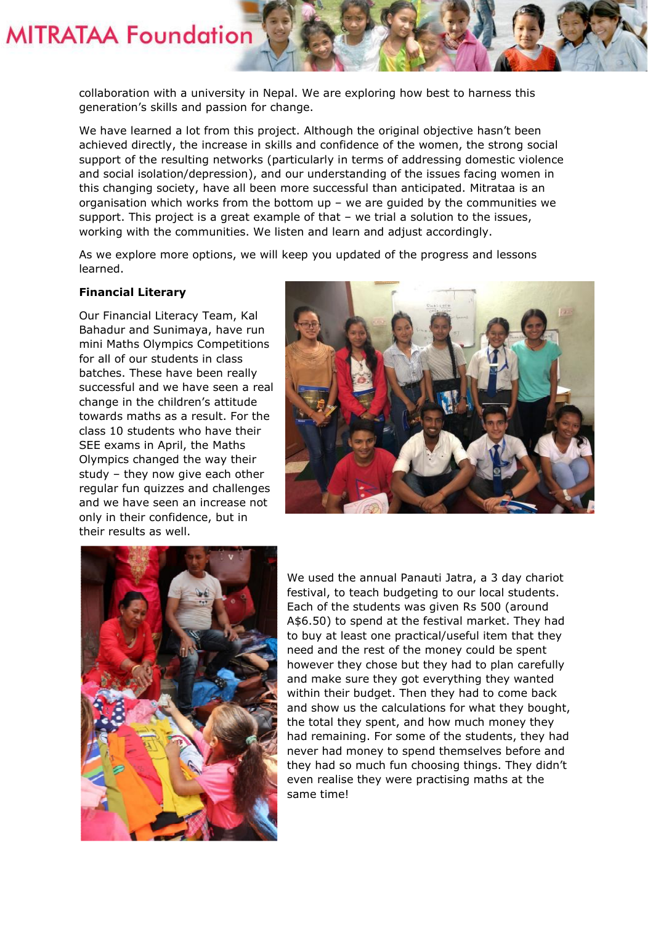

collaboration with a university in Nepal. We are exploring how best to harness this generation's skills and passion for change.

We have learned a lot from this project. Although the original objective hasn't been achieved directly, the increase in skills and confidence of the women, the strong social support of the resulting networks (particularly in terms of addressing domestic violence and social isolation/depression), and our understanding of the issues facing women in this changing society, have all been more successful than anticipated. Mitrataa is an organisation which works from the bottom  $up - we$  are guided by the communities we support. This project is a great example of that – we trial a solution to the issues, working with the communities. We listen and learn and adjust accordingly.

As we explore more options, we will keep you updated of the progress and lessons learned.

## **Financial Literary**

Our Financial Literacy Team, Kal Bahadur and Sunimaya, have run mini Maths Olympics Competitions for all of our students in class batches. These have been really successful and we have seen a real change in the children's attitude towards maths as a result. For the class 10 students who have their SEE exams in April, the Maths Olympics changed the way their study – they now give each other regular fun quizzes and challenges and we have seen an increase not only in their confidence, but in their results as well.





We used the annual Panauti Jatra, a 3 day chariot festival, to teach budgeting to our local students. Each of the students was given Rs 500 (around A\$6.50) to spend at the festival market. They had to buy at least one practical/useful item that they need and the rest of the money could be spent however they chose but they had to plan carefully and make sure they got everything they wanted within their budget. Then they had to come back and show us the calculations for what they bought, the total they spent, and how much money they had remaining. For some of the students, they had never had money to spend themselves before and they had so much fun choosing things. They didn't even realise they were practising maths at the same time!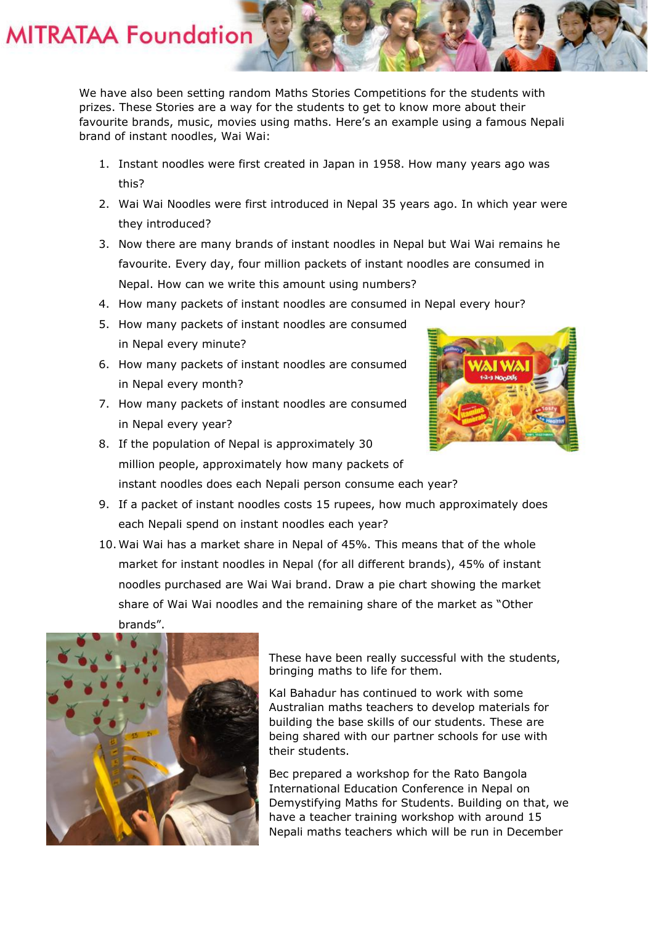**MITRATAA Foundation** 

We have also been setting random Maths Stories Competitions for the students with prizes. These Stories are a way for the students to get to know more about their favourite brands, music, movies using maths. Here's an example using a famous Nepali brand of instant noodles, Wai Wai:

- 1. Instant noodles were first created in Japan in 1958. How many years ago was this?
- 2. Wai Wai Noodles were first introduced in Nepal 35 years ago. In which year were they introduced?
- 3. Now there are many brands of instant noodles in Nepal but Wai Wai remains he favourite. Every day, four million packets of instant noodles are consumed in Nepal. How can we write this amount using numbers?
- 4. How many packets of instant noodles are consumed in Nepal every hour?
- 5. How many packets of instant noodles are consumed in Nepal every minute?
- 6. How many packets of instant noodles are consumed in Nepal every month?
- 7. How many packets of instant noodles are consumed in Nepal every year?
- 8. If the population of Nepal is approximately 30 million people, approximately how many packets of instant noodles does each Nepali person consume each year?
- 9. If a packet of instant noodles costs 15 rupees, how much approximately does each Nepali spend on instant noodles each year?
- 10. Wai Wai has a market share in Nepal of 45%. This means that of the whole market for instant noodles in Nepal (for all different brands), 45% of instant noodles purchased are Wai Wai brand. Draw a pie chart showing the market share of Wai Wai noodles and the remaining share of the market as "Other brands".



These have been really successful with the students, bringing maths to life for them.

Kal Bahadur has continued to work with some Australian maths teachers to develop materials for building the base skills of our students. These are being shared with our partner schools for use with their students.

Bec prepared a workshop for the Rato Bangola International Education Conference in Nepal on Demystifying Maths for Students. Building on that, we have a teacher training workshop with around 15 Nepali maths teachers which will be run in December